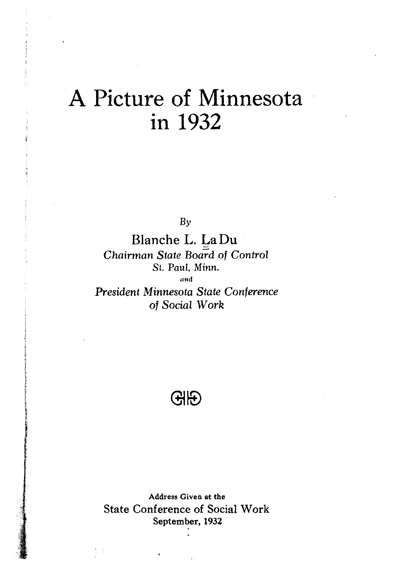# **A Picture of Minnesota in 1932**

**By**

**Blanche L. La Du** *Chairm an State Board of Control St. Paul, Minn. and*

*President Minnesota State Conference of Social W ork*

**GID** 

**Address Given at the State Conference of Social Work September, 1932**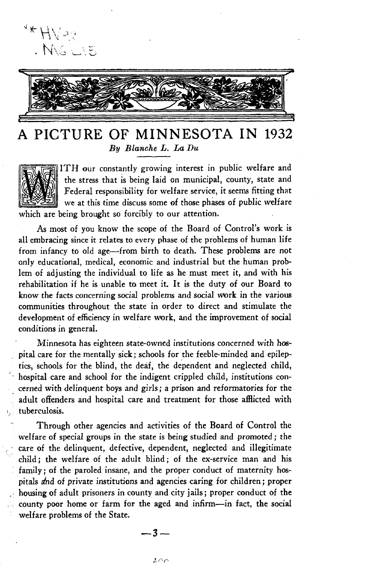

A PICTURE OF MINNESOTA IN 1932 *By Blanche L. La Du*



ITH our constantly growing interest in public welfare and the stress that is being laid on municipal, county, state and Federal responsibility for welfare service, it seems fitting that we at this time discuss some of those phases of public welfare which are being brought so forcibly to our attention.

As most of you know the scope of the Board of Control's work is all embracing since it relates to every phase of the problems of human life from infancy to old age— from birth to death. These problems are not only educational, medical, economic and industrial but the human problem of adjusting the individual to life as he must meet it, and with his rehabilitation if he is unable to meet it. It is the duty of our Board to know the facts concerning social problems and social work in the various communities throughout the state in order to direct and stimulate the development of efficiency in welfare work, and the improvement of social conditions in general.

Minnesota has eighteen state-owned institutions concerned with hospital care for the mentally sick; schools for the feeble-minded and epileptics, schools for the blind, the deaf, the dependent and neglected child, hospital care and school for the indigent crippled child, institutions concerned with delinquent boys and girls; a prison and reformatories for the adult offenders and hospital care and treatment for those afflicted with tuberculosis.

Through other agencies and activities of the Board of Control the welfare of special groups in the state is being studied and promoted; the care of the delinquent, defective, dependent, neglected and illegitimate child; the welfare of the adult blind; of the ex-service man and his family; of the paroled insane, and the proper conduct of maternity hospitals and of private institutions and agencies caring for children; proper housing of adult prisoners in county and city jails; proper conduct of the  $\therefore$  county poor home or farm for the aged and infirm—in fact, the social welfare problems of the State.

$$
-3-
$$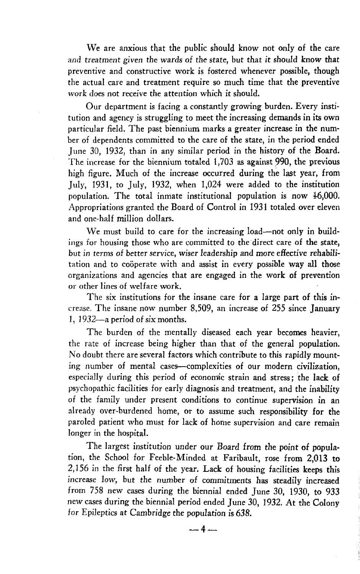We are anxious that the public should know not only of the care and treatment given the wards of the state, but that it should know that preventive and constructive work is fostered whenever possible, though the actual care and treatment require so much time that the preventive work does not receive the attention which it should.

Our department is facing a constantly growing burden. Every institution and agency is struggling to meet the increasing demands in its own particular field. The past biennium marks a greater increase in the number of dependents committed to the care of the state, in the period ended June 30, 1932, than in any similar period in the history of the Board. The increase for the biennium totaled 1,703 as against 990, the previous high figure. Much of the increase occurred during the last year, from July, 1931, to July, 1932, when 1,024 were added to the institution population. The total inmate institutional population is now 46.000. Appropriations granted the Board of Control in 1931 totaled over eleven and one-half million dollars.

We must build to care for the increasing load—not only in buildings for housing those who are committed to the direct care of the state, but in terms of better service, wiser leadership and more effective rehabilitation and to coöperate with and assist in every possible way all those organizations and agencies that are engaged in the work of prevention or other lines of welfare work.

The six institutions for the insane care for a large part of this increase. The insane now number 8,509, an increase of  $255$  since January *1, 1932*— a period of six months.

The burden of the mentally diseased each year becomes heavier, the rate of increase being higher than that of the general population. No doubt there are several factors which contribute to this rapidly mounting number of mental cases—complexities of our modern civilization, especially during this period of economic strain and stress; the lack of psychopathic facilities for early diagnosis and treatment, and the inability of the family under present conditions to continue supervision in an already over-burdened home, or to assume such responsibility for the paroled patient who must for lack of home supervision and care remain longer in the hospital.

The largest institution under our Board from the point of population, the School for Feeble-Minded at Faribault, rose from 2.013 to 2,156 in the first half of the year. Lack of housing facilities keeps this increase low, but the number of commitments has steadily increased from  $758$  new cases during the biennial ended June 30, 1930, to 933 new cases during the biennial period ended June 30, 1932. At the Colony for Epileptics at Cambridge the population is 638.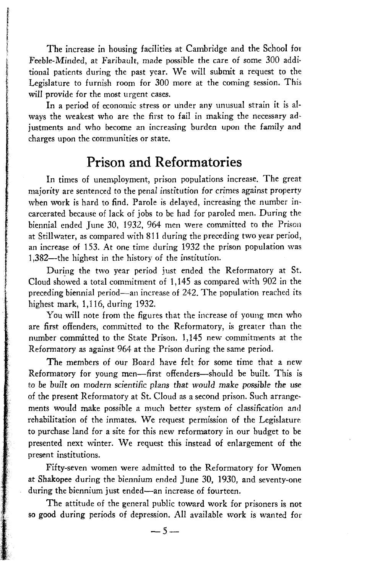The increase in housing facilities at Cambridge and the School for Feeble-M inded, at Faribault, made possible the care of some 300 additional patients during the past year. We will submit a request to the Legislature to furnish room for 300 more at the coming session. This will provide for the most urgent cases.

In a period of economic stress or under any unusual strain it is always the weakest who are the first to fail in making the necessary adjustments and who become an increasing burden upon the family and charges upon the communities or state.

# **Prison and Reformatories**

In times of unemployment, prison populations increase. The great majority are sentenced to the penal institution for crimes against property when work is hard to find. Parole is delayed, increasing the number incarcerated because of lack of jobs to be had for paroled men. During the biennial ended June 30, 1932, 964 men were committed to the Prison at Stillwater, as compared with 811 during the preceding two year period, an increase of 153. At one time during 1932 the prison population was 1,382— the highest in the history of the institution.

During the two year period just ended the Reformatory at St. Cloud showed a total commitment of 1,145 as compared with 902 in the preceding biennial period—an increase of 242. The population reached its highest mark, 1,116, during 1932.

You will note from the figures that the increase of young men who are first offenders, committed to the Reformatory, is greater than the number committed to the State Prison. 1,145 new commitments at the Reformatory as against 964 at the Prison during the same period.

The members of our Board have felt for some time that a new Reformatory for young men-first offenders-should be built. This is *to be built* on modern *scientific plans that would m ake* possible *the use* of the present Reformatory at St. Cloud as a second prison. Such arrangements would make possible a much better system of classification and rehabilitation of the inmates. We request permission of the Legislature to purchase land for a site for this new reformatory in our budget to be presented next winter. We request this instead of enlargement of the present institutions.

Fifty-seven women were admitted to the Reformatory for Women at Shakopee during the biennium ended June 30, 1930, and seventy-one during the biennium just ended—an increase of fourteen.

The attitude of the general public toward work for prisoners is not so good during periods of depression. All available work is wanted for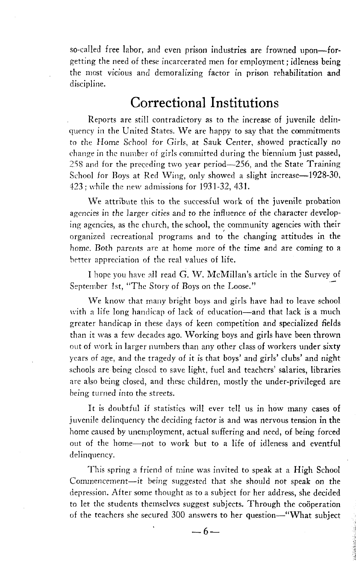so-called free labor, and even prison industries are frowned upon—forgetting the need of these incarcerated men for employment; idleness being the most vicious and demoralizing factor in prison rehabilitation and discipline.

# **Correctional Institutions**

Reports are still contradictory as to the increase of juvenile delinquency in the United States. We are happy to say that the commitments to the Home School for Girls, at Sauk Center, showed practically no change in the num ber of girls committed during the biennium just passed, 258 and for the preceding two year period—256, and the State Training School for Boys at Red Wing, only showed a slight increase—1928-30, 423; while the new admissions for 1931-32, 431.

We attribute this to the successful work of the juvenile probation agencies in the larger *cities and to the* influence of the character developing agencies, as the church, the school, the community agencies with their organized recreational programs and to the changing attitudes in the home. Both parents are at home more of the time and are coming to a better appreciation of the real values of life.

I hope you have all read G. W. McMillan's article in the Survey of September 1st, "The Story of Boys on the Loose."

We know that many bright boys and girls have had to leave school with a life long handicap of lack of education—and that lack is a much greater handicap in these days of keen competition and specialized fields than it was a few decades ago. Working boys and girls have been thrown out of work in larger numbers than any other class of workers under sixty years of age, and the tragedy of it is that boys' and girls' clubs' and night schools are being closed to save light, fuel and teachers' salaries, libraries are also being closed, and these children, mostly the under-privileged are being turned into the streets.

It is doubtful if statistics will ever tell us in how many cases of juvenile delinquency the deciding factor is and was nervous tension in the home caused by unemployment, actual suffering and need, of being forced out of the home—not to work but to a life of idleness and eventful delinquency.

This spring a friend of mine was invited to speak at a High School Commencement— it being suggested that she should not speak on the depression. A fter some thought as to a subject for her address, she decided to let the students themselves suggest subjects. T hrough the cooperation of the teachers she secured 300 answers to her question—"What subject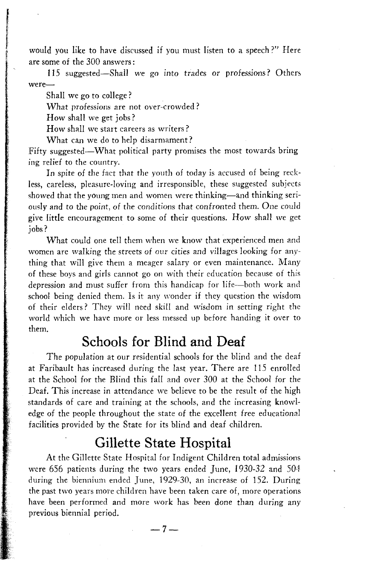would you like to have discussed if you must listen to a speech?" Here are some of the 300 answers:

115 suggested—Shall we go into trades or professions? Others were—

Shall we go to college ?

What professions are not over-crowded?

How shall we get jobs?

How shall we start careers as writers?

What can we do to help disarmament?

Fifty suggested—What political party promises the most towards bring ing relief to the country.

In spite of the fact that the youth of today is accused of being reckless, careless, pleasure-loving and irresponsible, these suggested subjects showed that the young men and women were thinking—and thinking seriously and to the point, of the conditions that confronted them. One could give little encouragement to some of their questions. How shall we get jobs?

What could one tell them when we know that experienced men and women are walking the streets of our cities and villages looking for anything that will give them a meager salary or even maintenance. Many of these boys and girls cannot go on w ith their education because of this depression and must suffer from this handicap for life—both work and school being denied them. Is it any wonder if they question the wisdom of their elders? They will need skill and wisdom in setting right the world which we have more or less messed up before handing it over to them.

# **Schools for Blind and Deaf**

The population at our residential schools for the blind and the deaf at Faribault has increased during the last year. There are 115 enrolled at the School for the Blind this fall and over 300 at the School for the Deaf. This increase in attendance we believe to be the result of the high standards of care and training at the schools, and the increasing knowledge of the people throughout the state of the excellent free educational facilities provided by the State for its blind and deaf children.

## **Gillette State Hospital**

At the Gillette State Hospital for Indigent Children total admissions were  $656$  patients during the two years ended June, 1930-32 and  $504$ during the biennium ended June, 1929-30, an increase of 152. During the past two years more children have been taken care of, more operations have been performed and more work has been done than during any previous biennial period.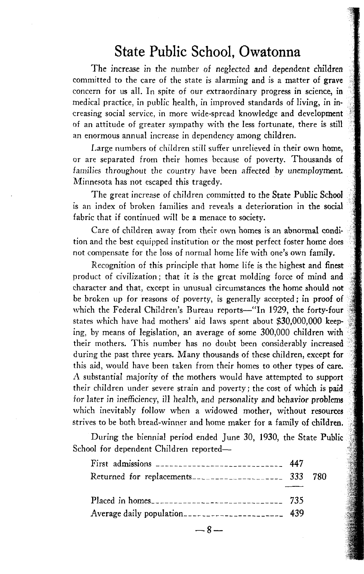## **State Public School, Owatonna**

The increase in the *number* of *neglected* and dependent children committed to the care of the state is alarming and is a matter of grave concern for us all. In spite of our extraordinary progress in science, in creasing social service, in more wide-spread knowledge and development of an attitude of greater sympathy with the less fortunate, there is still an enormous annual increase in dependency among children. medical practice, in public health, in improved standards of living, in in-

Large numbers of children still suffer unrelieved in their own home, families throughout the country have been affected by unemployment. Minnesota has not escaped this tragedy. or are separated from their homes because of poverty. Thousands of

The great increase of children committed to the State Public School fabric that if continued will be a menace to society. is an index of broken families and reveals a deterioration in the social

Care of children away from their own homes is an abnormal condition and the best equipped institution or the most perfect foster home does not compensate for the loss of normal home life with one's own family.

Recognition of this principle that home life is the highest and finest product of civilization; that it is the great molding force of mind and character and that, except in unusual circumstances the home should not be broken up for reasons of poverty, is generally accepted; in proof of which the Federal Children's Bureau reports—"In 1929, the forty-four states which have had mothers' aid laws spent about \$30,000,000 keeping, by means of legislation, an average of some 300,000 children with their mothers. This number has no doubt been considerably increased during the past three years. Many thousands of these children, except for this aid, would have been taken from their homes to other types of care. A substantial majority of the mothers would have attempted to support their children under severe strain and poverty; the cost of which is paid for later in inefficiency, ill health, and *personality and behavior* problems which inevitably follow when a widowed mother, without resources strives to be both bread-winner and home maker for a family of children.

During the biennial period ended June 30, 1930, the State Public School for dependent Children reported-

| First admissions $\frac{1}{2}$ = $\frac{1}{2}$ = $\frac{1}{2}$ = $\frac{1}{2}$ = $\frac{1}{2}$ = $\frac{1}{2}$ = $\frac{1}{2}$ = $\frac{1}{2}$ = $\frac{1}{2}$ = $\frac{1}{2}$ = $\frac{1}{2}$ = $\frac{1}{2}$ = $\frac{1}{2}$ = $\frac{1}{2}$ = $\frac{1}{2}$ = $\frac{1}{2}$ = $\frac{1}{2}$ = |  |
|--------------------------------------------------------------------------------------------------------------------------------------------------------------------------------------------------------------------------------------------------------------------------------------------------|--|
| Returned for replacements                                                                                                                                                                                                                                                                        |  |
|                                                                                                                                                                                                                                                                                                  |  |
|                                                                                                                                                                                                                                                                                                  |  |
| Average daily population_________________________ 439                                                                                                                                                                                                                                            |  |
|                                                                                                                                                                                                                                                                                                  |  |

 $-8-$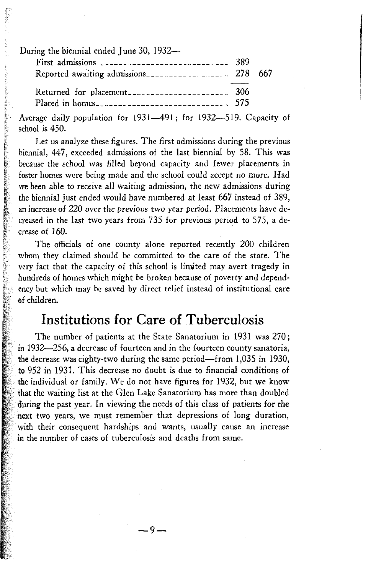During the biennial ended June 30, 1932—

| Returned for placement |  |
|------------------------|--|
|                        |  |

Average daily population for 1931-491; for 1932-519. Capacity of school is 450.

Let us analyze these figures. The first admissions during the previous biennial, 447, exceeded admissions of the last biennial by 58. This was because the school was filled beyond capacity and fewer placements in foster homes were being made and the school could accept no more. Had we been able to receive all waiting admission, the new admissions during the biennial just ended would have numbered at least 667 instead of 389, an increase of 220 over the previous two year period. Placements have decreased in the last two years from 735 for previous period to 575, a decrease of 160.

The officials of one county alone reported recently 200 children whom they claimed should be committed to the care of the state. The very fact that the capacity of this school is limited may avert tragedy in hundreds of homes which might be broken because of poverty and dependency but which may be saved by direct relief instead of institutional care of children.

# **Institutions for Care of Tuberculosis**

The number of patients at the State Sanatorium in 1931 was 270; in 1932— 256, a decrease of fourteen and in the fourteen county sanatoria, the decrease was eighty-two during the same period— from 1,035 in 1930, to 952 in 1931. This decrease no doubt is due to financial conditions of the individual or family. We do not have figures for 1932, but we know that the waiting list at the Glen Lake Sanatorium has more than doubled during the past year. In viewing the needs of this class of patients for the next two years, we must remember that depressions of long duration, with their consequent hardships and wants, usually cause an increase in the number of cases of tuberculosis and deaths from same.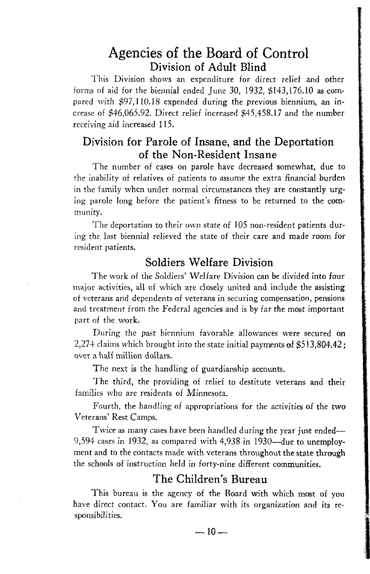## **Agencies of the Board of Control Division of Adult Blind**

This Division shows an expenditure for direct relief and other forms of aid for the biennial ended June 30, 1932, \$143,176.10 as compared with \$97,110.18 expended during the previous biennium, an increase of \$46,065.92. Direct relief increased \$45,458.17 and the number receiving aid increased 115.

#### **Division for Parole of Insane, and the Deportation of the Non-Resident Insane**

The number of cases on parole have decreased somewhat, due to the inability of relatives of patients to assume the extra financial burden in the family when under normal circumstances they are constantly urging parole long before the patient's fitness to be returned to the community.

The deportation to their own state of 105 non-resident patients during the last biennial relieved the state of their care and made room for resident patients.

#### **Soldiers Welfare Division**

The work of the Soldiers' Welfare Division can be divided into four major activities, all of which are closely united and include the assisting of veterans and dependents of veterans in securing compensation, pensions and treatment from the Federal agencies and is by far the most important part of the work.

During the past biennium favorable allowances were secured on 2,274 claims which brought into the state initial payments of \$513,804.42; over a half million dollars.

The next is the handling of guardianship accounts.

The third, the providing of relief to destitute veterans and their families who are residents of Minnesota.

Fourth, the handling of appropriations for the activities of the two Veterans' Rest Camps.

Twice as many cases have been handled during the year just ended—  $9,594$  cases in 1932, as compared with  $4,938$  in 1930—due to unemployment and to the contacts made with veterans throughout the state through the schools of instruction held in forty-nine different communities.

#### **The Children's Bureau**

This bureau is the agency of the Board with which most of you have direct contact. You are familiar with its organization and its responsibilities.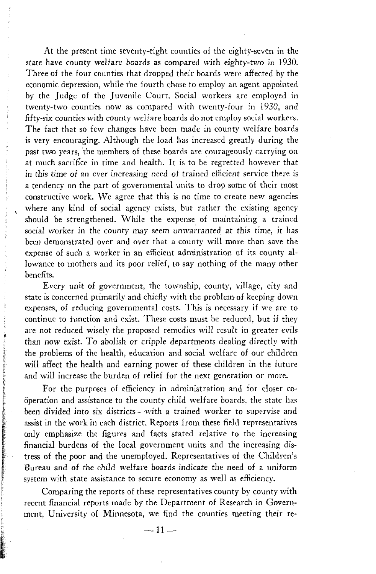At the present time seventy-eight counties of the eighty-seven in the state have county welfare boards as compared with eighty-two in 1930. Three of the four counties that dropped their boards were affected by the economic depression, while the fourth chose to employ an agent appointed by the Judge of the Juvenile Court. Social workers are employed in twenty-two counties now as compared with twenty-four in 1930, and fifty-six counties with county welfare boards do not employ social workers. The fact that so few changes have been made in county welfare boards is very encouraging. Although the load has increased greatly during the past two years, the members of these boards are courageously carrying on at much sacrifice in time and health. It is to be regretted however that in this time of an ever increasing need of trained efficient service there is a tendency on the part of governmental units to drop some of their most constructive work. We agree that this is no time to create new agencies where any kind of social agency exists, but rather the existing agency should be strengthened. While the expense of maintaining a trained social worker in the county may seem unwarranted at this time, it has been demonstrated over and over that a county will more than save the expense of such a worker in an efficient administration of its county allowance to mothers and its poor relief, to say nothing of the many other benefits.

Every unit of government, the township, county, village, city and state is concerned primarily and chiefly with the problem of keeping down expenses, of reducing governmental costs. This is necessary if we are to continue to function and exist. These costs must be reduced, but if they are not reduced wisely the proposed remedies will result in greater evils than now exist. To abolish or cripple departments dealing directly with the problems of the health, education and social welfare of our children will affect the health and earning power of these children in the future and will increase the burden of relief for the next generation or more.

For the purposes of efficiency in administration and for closer cooperation and assistance to the county child w elfare boards, the state has been divided into six districts—with a trained worker to supervise and assist in the work in each district. Reports from these field representatives only emphasize the figures and facts stated relative to the increasing financial burdens of the local government units and the increasing distress of the poor and the unemployed. Representatives of the Children's Bureau and of the child welfare boards indicate the need of a uniform system with state assistance to secure economy as well as efficiency.

Comparing the reports of these representatives county by county with recent financial reports made by the Department of Research in Government, University of Minnesota, we find the counties meeting their re-

 $-11-$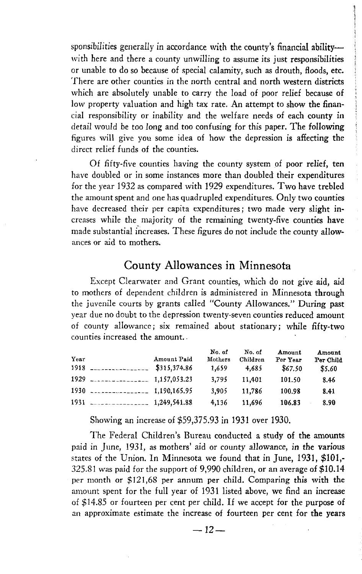sponsibilities generally in accordance with the county's financial ability with here and there a county unwilling to assume its just responsibilities or unable to do so because of special calamity, such as drouth, floods, etc. There are other counties in the north central and north western districts which are absolutely unable to carry the load of poor relief because of low property valuation and high tax rate. An attempt to show the financial responsibility or inability and the welfare needs of each county in detail would be too long and too confusing for this paper. The following figures w ill give you some idea of how the depression is affecting the direct relief funds of the counties.

Of fifty-five counties having the county system of poor relief, ten have doubled or in some instances more than doubled their expenditures for the year 1932 as compared with 1929 expenditures. Two have trebled the amount spent and one has quadrupled expenditures. Only two counties have decreased their per capita expenditures; two made very slight increases while the majority of the remaining twenty-five counties have made substantial increases. These figures do not include the county allowances or aid to mothers.

#### **County Allowances in Minnesota**

Except Clearwater and Grant counties, which do not give aid, aid to mothers of dependent children is administered in Minnesota through the juvenile courts by grants called "County Allowances." During past year due no doubt to the depression twenty-seven counties reduced amount of county allowance; six remained about stationary; while fifty-two counties increased the amount.

| Year |                                       | Amount Paid | No. of<br>Mothers<br>1.659 | No. of<br>Children<br>4.685 | Amount<br>Per Year | Amount<br>Per Child |
|------|---------------------------------------|-------------|----------------------------|-----------------------------|--------------------|---------------------|
|      |                                       |             | 3.795                      | 11.401                      | \$67.50<br>101.50  | \$5.60<br>8.46      |
|      | $1930$ ----------------- 1,190,165,95 |             | 3.905                      | 11.786                      | 100.98             | 8.41                |
|      | $1931$ $--- 1,249,541.88$             |             | 4.136                      | 11.696                      | 106.83             | 8.90                |

Showing an increase of \$59,375.93 in 1931 over 1930.

The Federal Children's Bureau conducted a study of the amounts paid in June, 1931, as mothers' aid or county allowance, in the various states of the Union. In Minnesota we found that in June, 1931,  $$101$ ,-325.81 was paid for the support of 9,990 children, or an average of \$10.14 per month or \$121,68 per annum per child. Comparing this with the am ount spent for the full year of 1931 listed above, we find an increase of \$14.85 or fourteen per cent per child. If we accept for the purpose of an approximate estimate the increase of fourteen per cent for the years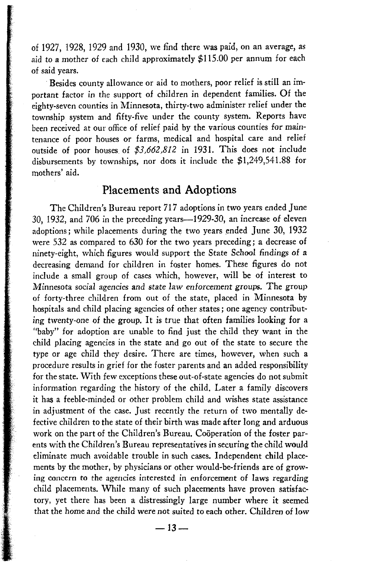of 1927, 1928, 1929 and 1930, we find there was paid, on an average, as aid to a mother of each child approximately \$115.00 per annum for each of said years.

Besides county allowance or aid to mothers, poor relief is still an important factor in the support of children in dependent families. Of the eighty-seven counties in Minnesota, thirty-two administer relief under the township system and fifty-five under the county system. Reports have been received at our office of relief paid by the various counties for maintenance of poor houses or farms, medical and hospital care and relief outside of poor houses of \$3,662,812 in 1931. This does not include disbursements by townships, nor does it include the \$1,249,541.88 for mothers' aid.

## **Placements and Adoptions**

The Children's Bureau report 717 adoptions in two years ended June 30, 1932, and 706 in the preceding years— 1929-30, an increase of eleven adoptions; while placements during the two years ended June 30, 1932 were 532 as compared to  $630$  for the two years preceding; a decrease of ninety-eight, which figures would support the State School findings of a decreasing demand for children in foster homes. These figures do not include a small group of cases which, however, will be of interest to Minnesota social agencies and state law enforcement groups. The group of forty-three children from out of the state, placed in Minnesota by hospitals and child placing agencies of other states; one agency contributing twenty-one of the group. It is true that often families looking for a "baby" for adoption are unable to find just the child they want in the child placing agencies in the state and go out of the state to secure the type or age child they desire. There are times, however, when such a procedure results in grief for the foster parents and an added responsibility for the state. With few exceptions these out-of-state agencies do not submit information regarding the history of the child. Later a family discovers it has a feeble-minded or other problem child and wishes state assistance in adjustment of the case. Just recently the return of two mentally defective children to the state of their birth was made after long and arduous work on the part of the Children's Bureau. Cooperation of the foster parents with the Children's Bureau representatives in securing the child would eliminate much avoidable trouble in such cases. Independent child placements by the mother, by physicians or other would-be-friends are of grow ing concern to the agencies interested in enforcement of laws regarding child placements. While many of such placements have proven satisfactory, yet there has been a distressingly large number where it seemed that the home and the child were not suited to each other. Children of low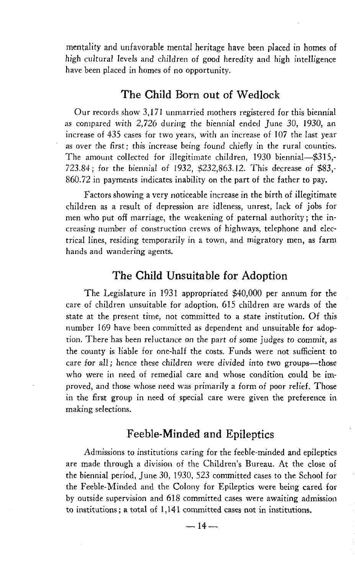mentality and unfavorable mental heritage have been placed in homes of high cultural levels and children of good heredity and high intelligence have been placed in homes of no opportunity.

#### **The Child Born out of Wedlock**

Our records show 3,171 unmarried mothers registered for this biennial as compared with 2,726 during the biennial ended June *30,* 1930, an increase of 435 cases for two years, with an increase of 107 the last year as over the first; this increase being found chiefly in the rural counties. The amount collected for illegitimate children, 1930 biennial—\$315,-723.84; for the biennial of 1932, \$232,863.12. This decrease of \$83,-860.72 in payments indicates inability on the part of the father to pay.

Factors showing a very noticeable increase in the birth of illegitimate children as a result of depression are idleness, unrest, lack of jobs for men who put off marriage, the weakening of paternal authority; the increasing num ber of construction crews of highways, telephone and electrical lines, residing temporarily in a town, and migratory men, as farm hands and wandering agents.

#### **The Child Unsuitable for Adoption**

The Legislature in 1931 appropriated  $$40,000$  per annum for the care of children unsuitable for adoption. 615 children are wards of the state at the present time, not committed to a state institution. Of this number 169 have been committed as dependent and unsuitable for adoption. There has been reluctance on the part of some judges to commit, as the county is liable for one-half the costs. Funds were not sufficient to care for all; hence these children were divided into two groups-those who were in need of remedial care and whose condition could be improved, and those whose need was primarily a form of poor relief. Those in the first group in need of special care were given the preference in making selections.

### **Feeble-Minded and Epileptics**

Admissions to institutions caring for the feeble-minded and epileptics are made through a division of the Children's Bureau. At the close of the biennial period, June 30, 1930, 523 committed cases to the School for the Feeble-Minded and the Colony for Epileptics were being cared for by outside supervision and 618 committed cases were awaiting admission to institutions; a total of 1,141 committed cases not in institutions.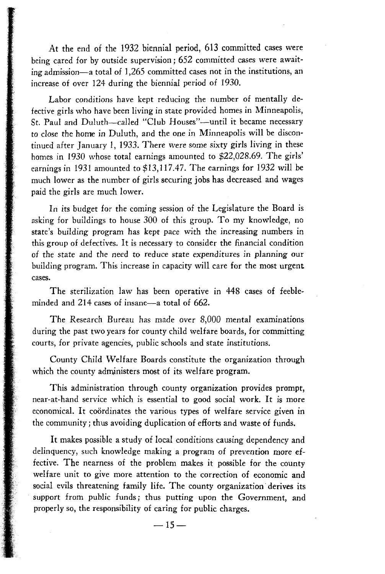At the end of the 1932 biennial period, 613 committed cases were being cared for by outside supervision; 652 committed cases were awaiting admission—a total of  $1,265$  committed cases not in the institutions, an increase of over 124 during the biennial period of 1930.

Labor conditions have kept reducing the number of mentally defective girls who have been living in state provided homes in Minneapolis, St. Paul and Duluth—called "Club Houses"—until it became necessary to close the home in Duluth, and the one in Minneapolis will be discontinued after January 1, 1933. There were some sixty girls living in these homes in 1930 whose total earnings amounted to  $$22,028.69$ . The girls' earnings in 1931 amounted to  $$13,117.47$ . The earnings for 1932 will be much lower as the number of girls securing jobs has decreased and wages paid the girls are much lower.

In its budget for the coming session of the Legislature the Board is asking for buildings to house  $300$  of this group. To my knowledge, no state's building program has kept pace with the increasing numbers in this group of defectives. It is necessary to consider the financial condition of the state and the need to reduce state expenditures in planning our building program. This increase in capacity will care for the most urgent cases.

The sterilization law has been operative in 448 cases of feebleminded and 214 cases of insane—a total of 662.

The Research Bureau has made over 8,000 mental examinations during the past two years for county child welfare boards, for committing courts, for private agencies, public schools and state institutions.

County Child Welfare Boards constitute the organization through which the county administers most of its welfare program.

This administration through county organization provides prompt, near-at-hand service which is essential to good social work. It is more economical. It coordinates the various types of welfare service given in the community; thus avoiding duplication of efforts and waste of funds.

It makes possible a study of local conditions causing dependency and delinquency, such knowledge m aking a program of prevention *more* effective. The nearness of the problem makes it possible for the county welfare unit to give more attention to the correction of economic and social evils threatening family life. The county organization derives its support from public funds; thus putting upon the Government, and properly so, the responsibility of caring for public charges.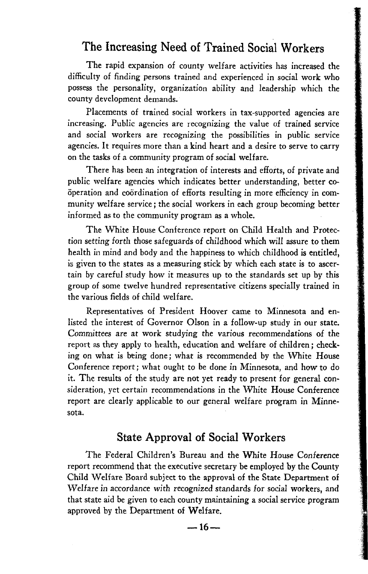## **The Increasing Need of Trained Social Workers**

The rapid expansion of county welfare activities has increased the difficulty of finding persons trained and experienced in social work who possess the personality, organization ability and leadership which the county development demands.

Placements of trained social workers in tax-supported agencies are increasing. Public agencies are recognizing the value of trained service and social workers are recognizing the possibilities in public service agencies. It requires more than a kind heart and a desire to serve to carry on the tasks of a community program of social welfare.

There has been an integration of interests and efforts, of private and public w elfare agencies which indicates better understanding, better cooperation and coordination of efforts resulting in more efficiency in community welfare service; the social workers in each group becoming better informed as to the community program as a whole.

The White House Conference report on Child Health and Protection setting forth those safeguards of childhood which will assure to them health in mind and body and the happiness to which childhood is entitled, is given to the states as a measuring stick by which each state is to ascertain by careful study how it measures up to the standards set up by this group of some twelve hundred representative citizens specially trained in the various fields of child welfare.

Representatives of President Hoover came to Minnesota and enlisted the interest of Governor Olson in a follow-up study in our state. Committees are at work studying the various recommendations of the report as they apply to health, education and welfare of children; checking on what is being done; what is recommended by the White House Conference report; what ought to be done in Minnesota, and how to do it. The results of the study are not yet ready to present for general consideration, yet certain recommendations in the White House Conference report are clearly applicable to our general welfare program in Minnesota.

#### **State Approval of Social Workers**

The Federal Children's Bureau and the White House Conference report recommend that the executive secretary be employed by the County Child Welfare Board subject to the approval of the State Department of Welfare in accordance with recognized standards for social workers, and that state aid be given to each county maintaining a social service program approved by the Department of Welfare.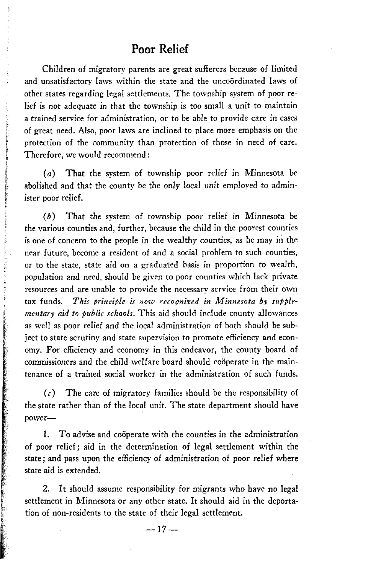#### **Poor Relief**

Children of migratory parents are great sufferers because of limited and unsatisfactory laws within the state and the uncoördinated laws of other states regarding legal settlements. The township system of poor relief is not adequate in that the township is too small a unit to maintain a trained service for administration, or to be able to provide care in cases of great need. Also, poor laws are inclined to place more emphasis on the protection of the community than protection of those in need of care. Therefore, we would recommend:

(a) That the system of township poor relief in Minnesota be abolished and that the county be the only local unit employed to administer poor relief.

 $(b)$  That the system of township poor relief in Minnesota be the various counties and, further, because the child in the poorest counties is one of concern to the people in the wealthy counties, as he may in the near future, become a resident of and a social problem to such counties, or to the state, state aid on a graduated basis in proportion to wealth, population and need, should be given to poor counties which lack private resources and are unable to provide the necessary service from their own tax funds. This principle is now recognized in Minnesota by supple*mentary aid to public schools.* This aid should include county allowances as well as poor relief and the local administration of both should be subject to state scrutiny and state supervision to promote efficiency and economy. For efficiency and economy in this endeavor, the county board of commissioners and the child welfare board should coöperate in the maintenance of a trained social worker in the administration of such funds.

 $(c)$  The care of migratory families should be the responsibility of the state rather than of the local unit. The state department should have power—

1. To advise and coöperate with the counties in the administration of poor relief; aid in the determination of legal settlement within the state; and pass upon the efficiency of administration of poor relief where state aid is extended.

2. It should assume responsibility for migrants who have no legal settlement in Minnesota or any other state. It should aid in the deportation of non-residents to the state of their legal settlement.

**— 17 —**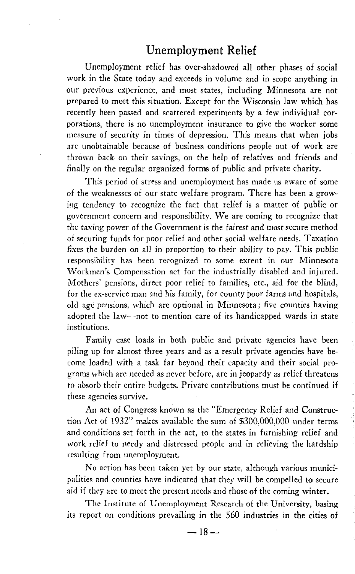### **Unemployment Relief**

Unemployment relief has over-shadowed all other phases of social work in the State today and exceeds in volume and in scope anything in our previous experience, and most states, including Minnesota are not prepared to meet this situation. Except for the Wisconsin law which has recently been passed and scattered experiments by a few individual corporations, there is no unemployment insurance to give the worker some measure of security in times of depression. This means that when jobs are unobtainable because of business conditions people out of work are thrown back on their savings, on the help of relatives and friends and finally on the regular organized forms of public and private charity.

This period of stress and unemployment has made us aware of some of the weaknesses of our state welfare program. There has been a growing tendency to recognize the fact that relief is a matter of public or government concern and responsibility. We are coming to recognize that the taxing power of the Government is the fairest and most secure method of securing funds for poor relief and other social welfare needs. Taxation fixes the burden on all in proportion to their ability to pay. This public responsibility has been recognized to some extent in our Minnesota Workmen's Compensation act for the industrially disabled and injured. M others' pensions, direct poor relief to families, etc., aid for the blind, for the ex-service man and his family, for county poor farms and hospitals, old age pensions, which are optional in Minnesota; five counties having adopted the law—not to mention care of its handicapped wards in state institutions.

Family case loads in both public and private agencies have been piling up for almost three years and as a result private agencies have become loaded with a task far beyond their capacity and their social programs which are needed as never before, are in jeopardy as relief threatens to absorb their entire budgets. Private contributions must be continued if these agencies survive.

An act of Congress known as the "Emergency Relief and Construction Act of 1932" makes available the sum of \$300,000,000 under terms and conditions set forth in the act, to the states in furnishing relief and work relief to needy and distressed people and in relieving the hardship resulting from unemployment.

No action has been taken yet by our state, although various municipalities and counties have indicated that they will be compelled to secure aid if they are to meet the present needs and those of the coming winter.

The Institute of Unemployment Research of the University, basing its report on conditions prevailing in the 560 industries in the cities of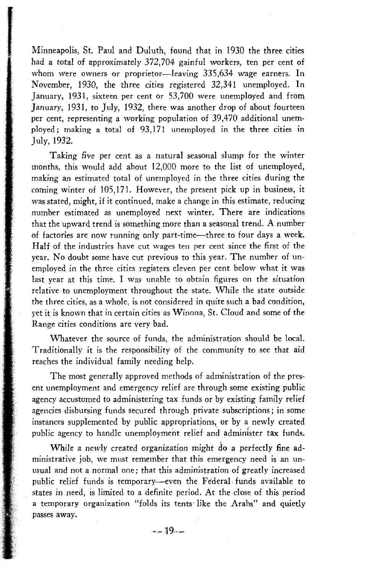Minneapolis, St. Paul and Duluth, found that in 1930 the three cities had a total of approximately 372.704 gainful workers, ten per cent of whom were owners or proprietor—leaving 335,634 wage earners. In November, 1930, the three cities registered 32,341 unemployed. In January, 1931, sixteen per cent or 53,700 were unemployed and from January, 1931, to July, 1932, there was another drop of about fourteen per cent, representing a working population of 39,470 additional unemployed ; m aking a total of 93,171 unemployed in the three cities in July, 1932.

Taking five per cent as a natural seasonal slump for the winter months, this would add about 12,000 more to the list of unemployed, making an estimated total of unemployed in the three cities during the coming winter of 105,171. However, the present pick up in business, it was stated, might, if it continued, make a change in this estimate, reducing number estimated as unemployed next winter. There are indications that the upward trend is something more than a seasonal trend. A number of factories are now running only part-time—three to four days a week. Half of the industries have cut wages ten per cent since the first of the year. No doubt some have cut previous to this year. The number of unemployed in the three cities registers eleven per cent below what it was last year at this time. I was unable to obtain figures on the situation relative to unemployment throughout the state. While the state outside the three cities, as a whole, is not considered in quite such a bad condition, yet it is known that in certain cities as  $W$  inona, St. Cloud and some of the Range cities conditions are very bad.

Whatever the source of funds, the administration should be local. Traditionally it is the responsibility of the community to see that aid reaches the individual family needing help.

The most generally approved methods of administration of the present unemployment and emergency relief are through some existing public agency accustomed to administering tax funds or by existing family relief agencies disbursing funds secured through private subscriptions; in some instances supplemented by public appropriations, or by a newly created public agency to handle unemployment relief and administer tax funds.

While a newly created organization might do a perfectly fine administrative job, we must remember that this emergency need is an unusual and not a normal one; that this administration of greatly increased public relief funds is temporary—even the Federal funds available to states in need, is limited to a definite period. At the close of this period a temporary organization "folds its tents like the Arabs" and quietly passes away.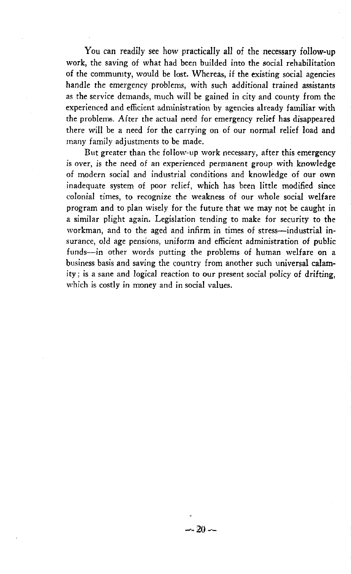You can readily see how practically all of the necessary follow-up work, the saving of what had been builded into the social rehabilitation of the community, would be lost. Whereas, if the existing social agencies handle the emergency problems, with such additional trained assistants as the service demands, much will be gained in city and county from the experienced and efficient administration by agencies already familiar with the problems. A fter the actual need for emergency relief has disappeared there will be a need for the carrying on of our normal relief load and many family adjustments to be made.

But greater than the follow-up work necessary, after this emergency is over, is the need of an experienced permanent group with knowledge of m odern social and industrial conditions and knowledge of our own inadequate system of poor relief, which has been little modified since colonial times, to recognize the weakness of our whole social welfare program and to plan wisely for the future that we may not be caught in a sim ilar plight again. Legislation tending to make for security to the workman, and to the aged and infirm in times of stress—industrial insurance, old age pensions, uniform and efficient administration of public funds—in other words putting the problems of human welfare on a business basis and saving the country from another such universal calamity ; is a sane and logical reaction to our present social policy of drifting, which is costly in money and in social values.